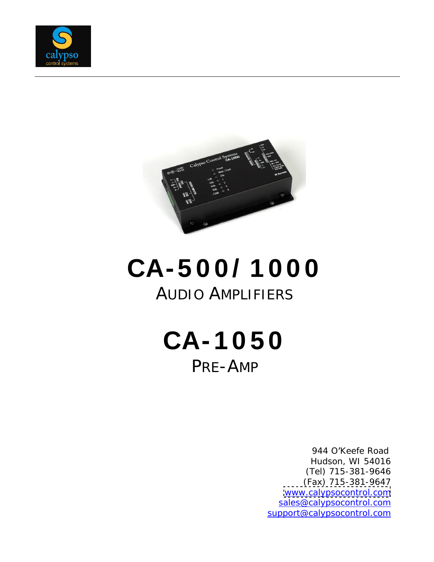



# **CA- 5 0 0 / 1 0 0 0** AUDIO AMPLIFIERS

**CA- 1 0 5 0** PRE-AMP

> 944 O'Keefe Road Hudson, WI 54016 (Tel) 715-381-9646 (Fax) 715-381-9647 [www.calypsocontrol.com](http://www.calypsocontrol.com) sales@calypsocontrol.com support@calypsocontrol.com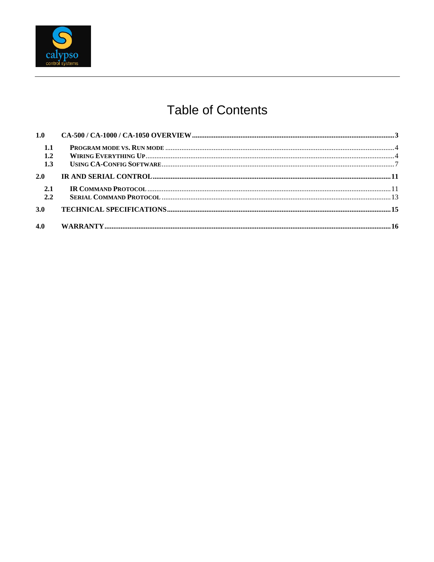

## **Table of Contents**

| 1.1 |  |
|-----|--|
| 1.2 |  |
| 1.3 |  |
| 2.0 |  |
| 2.1 |  |
| 2.2 |  |
| 3.0 |  |
| 4.0 |  |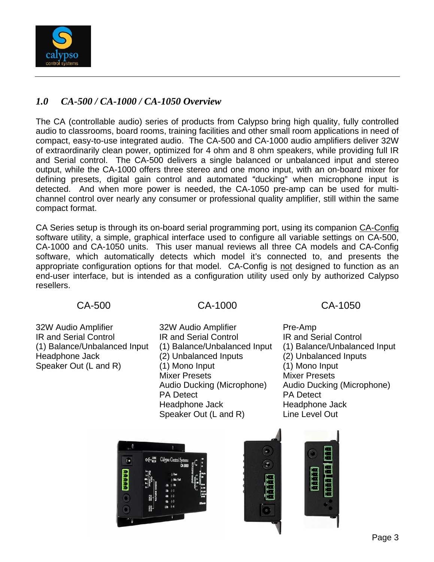

### *1.0 CA-500 / CA-1000 / CA-1050 Overview*

The CA (controllable audio) series of products from Calypso bring high quality, fully controlled audio to classrooms, board rooms, training facilities and other small room applications in need of compact, easy-to-use integrated audio. The CA-500 and CA-1000 audio amplifiers deliver 32W of extraordinarily clean power, optimized for 4 ohm and 8 ohm speakers, while providing full IR and Serial control. The CA-500 delivers a single balanced or unbalanced input and stereo output, while the CA-1000 offers three stereo and one mono input, with an on-board mixer for defining presets, digital gain control and automated "ducking" when microphone input is detected. And when more power is needed, the CA-1050 pre-amp can be used for multi channel control over nearly any consumer or professional quality amplifier, still within the same compact format.

CA Series setup is through its on-board serial programming port, using its companion CA-Config software utility, a simple, graphical interface used to configure all variable settings on CA-500, CA-1000 and CA-1050 units. This user manual reviews all three CA models and CA-Config software, which automatically detects which model it's connected to, and presents the appropriate configuration options for that model. CA-Config is not designed to function as an end-user interface, but is intended as a configuration utility used only by authorized Calypso resellers. The contract of the contract of the contract of the contract of the contract of the contract of the contract of the contract of the contract of the contract of the contract of the contract of the contract of the

32W Audio Amplifier 32W Audio Amplifier Pre-Amp IR and Serial Control **IR and Serial Control IR and Serial Control** (1) Balance/Unbalanced Input (1) Balance/Unbalanced Input (1) Balance/Unbalanced Input Headphone Jack (2) Unbalanced Inputs (2) Unbalanced Inputs Speaker Out (L and R) (1) Mono Input (1) Mono Input

Mixer Presets Mixer Presets Audio Ducking (Microphone) Audio Ducking (Microphone) PA Detect **PA Detect** PA Detect Headphone Jack Headphone Jack Speaker Out (L and R) Line Level Out

CA-500 CA-1000 CA-1050





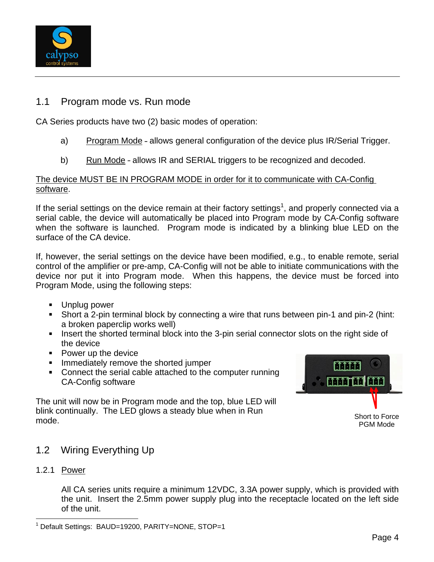

### 1.1 Program mode vs. Run mode

CA Series products have two (2) basic modes of operation:

- a) Program Mode allows general configuration of the device plus IR/Serial Trigger.
- b) Run Mode allows IR and SERIAL triggers to be recognized and decoded.

#### The device MUST BE IN PROGRAM MODE in order for it to communicate with CA-Config software. The contract of the contract of the contract of the contract of the contract of the contract of the contract of the contract of the contract of the contract of the contract of the contract of the contract of the

If the serial settings on the device remain at their factory settings<sup>1</sup>, and properly connected via a serial cable, the device will automatically be placed into Program mode by CA-Config software when the software is launched. Program mode is indicated by a blinking blue LED on the surface of the CA device.

If, however, the serial settings on the device have been modified, e.g., to enable remote, serial control of the amplifier or pre-amp, CA-Config will not be able to initiate communications with the device nor put it into Program mode. When this happens, the device must be forced into Program Mode, using the following steps:

- Unplug power
- Short a 2-pin terminal block by connecting a wire that runs between pin-1 and pin-2 (hint: a broken paperclip works well)
- Insert the shorted terminal block into the 3-pin serial connector slots on the right side of the device
- Power up the device example of the state of the state of the state of the state of the state of the state of the state of the state of the state of the state of the state of the state of the state of the state of the state
- Immediately remove the shorted jumper **Example 2018 CONVERTERED ATTENTS**
- Connect the serial cable attached to the computer running<br>CA-Config software  $\mathbf{r}$ CA-Config software the control of the control of the control of the control of the control of the control of the control of the control of the control of the control of the control of the control of the control of the cont

The unit will now be in Program mode and the top, blue LED will blink continually. The LED glows a steady blue when in Run<br>
short to Force mode. The contract of the contract of the contract of the contract of the contract of the contract of the contract of the contract of the contract of the contract of the contract of the contract of the contract of the cont



Short to Force PGM Mode

- 1.2 Wiring Everything Up
- 1.2.1 Power

All CA series units require a minimum 12VDC, 3.3A power supply, which is provided with the unit. Insert the 2.5mm power supply plug into the receptacle located on the left side of the unit.

The Constitution of the Maria Company of the Company of the Company of the Company of the Company of the Company of the Company of the Company of the Company of the Company of the Company of the Company of the Company of t <sup>1</sup> Default Settings: BAUD=19200, PARITY=NONE, STOP=1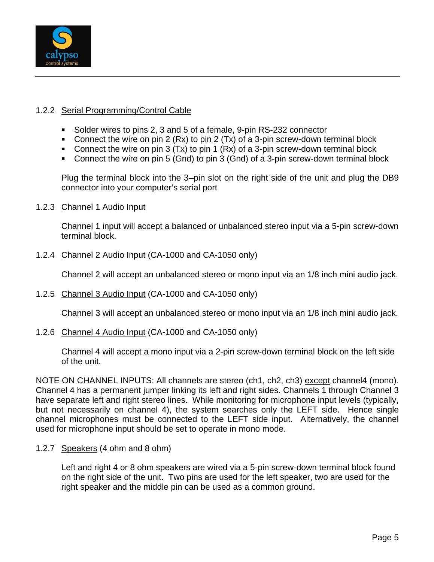

#### 1.2.2 Serial Programming/Control Cable

- Solder wires to pins 2, 3 and 5 of a female, 9-pin RS-232 connector
- Connect the wire on pin 2 (Rx) to pin 2 (Tx) of a 3-pin screw-down terminal block
- Connect the wire on pin 3 (Tx) to pin 1 (Rx) of a 3-pin screw-down terminal block
- Connect the wire on pin 5 (Gnd) to pin 3 (Gnd) of a 3-pin screw-down terminal block

Plug the terminal block into the 3-pin slot on the right side of the unit and plug the DB9 connector into your computer's serial port

#### 1.2.3 Channel 1 Audio Input

Channel 1 input will accept a balanced or unbalanced stereo input via a 5-pin screw-down terminal block.

1.2.4 Channel 2 Audio Input (CA-1000 and CA-1050 only)

Channel 2 will accept an unbalanced stereo or mono input via an 1/8 inch mini audio jack.

1.2.5 Channel 3 Audio Input (CA-1000 and CA-1050 only)

Channel 3 will accept an unbalanced stereo or mono input via an 1/8 inch mini audio jack.

1.2.6 Channel 4 Audio Input (CA-1000 and CA-1050 only)

Channel 4 will accept a mono input via a 2-pin screw-down terminal block on the left side of the unit.

NOTE ON CHANNEL INPUTS: All channels are stereo (ch1, ch2, ch3) except channel4 (mono). Channel 4 has a permanent jumper linking its left and right sides. Channels 1 through Channel 3 have separate left and right stereo lines. While monitoring for microphone input levels (typically, but not necessarily on channel 4), the system searches only the LEFT side. Hence single channel microphones must be connected to the LEFT side input. Alternatively, the channel used for microphone input should be set to operate in mono mode.

1.2.7 Speakers (4 ohm and 8 ohm)

Left and right 4 or 8 ohm speakers are wired via a 5-pin screw-down terminal block found on the right side of the unit. Two pins are used for the left speaker, two are used for the right speaker and the middle pin can be used as a common ground.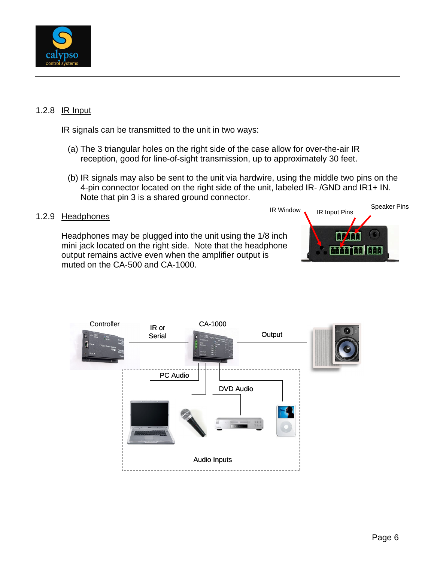

#### 1.2.8 IR Input

IR signals can be transmitted to the unit in two ways:

- (a) The 3 triangular holes on the right side of the case allow for over-the-air IR reception, good for line-of-sight transmission, up to approximately 30 feet.
- (b) IR signals may also be sent to the unit via hardwire, using the middle two pins on the 4-pin connector located on the right side of the unit, labeled IR- /GND and IR1+ IN.<br>Note that pin 3 is a shared ground connector.

Headphones may be plugged into the unit using the 1/8 inch mini jack located on the right side. Note that the headphone output remains active even when the amplifier output is muted on the CA-500 and CA-1000.



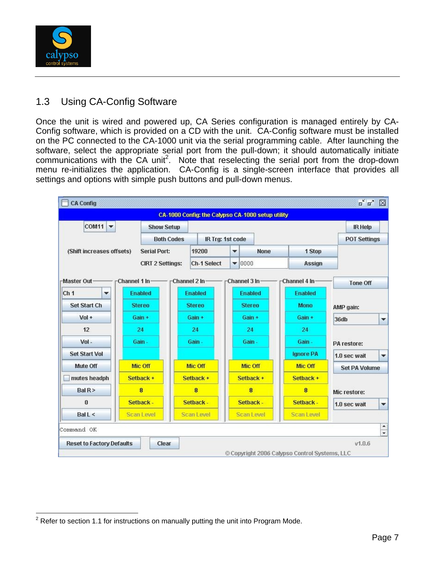

### 1.3 Using CA-Config Software

Once the unit is wired and powered up, CA Series configuration is managed entirely by CA- Config software, which is provided on a CD with the unit. CA-Config software must be installed on the PC connected to the CA-1000 unit via the serial programming cable. After launching the software, select the appropriate serial port from the pull-down; it should automatically initiate communications with the CA unit<sup>2</sup>. Note that reselecting the serial port from the drop-down menu re-initializes the application. CA-Config is a single-screen interface that provides all settings and options with simple push buttons and pull-down menus.

| <b>CA Config</b>                 |                         |                   |                    |   |                                                   |                                               | $\mathbf{u}^{\mathbf{K}}$ | 図                             |
|----------------------------------|-------------------------|-------------------|--------------------|---|---------------------------------------------------|-----------------------------------------------|---------------------------|-------------------------------|
|                                  |                         |                   |                    |   | CA-1000 Config: the Calypso CA-1000 setup utility |                                               |                           |                               |
| <b>COM11</b><br>$\mathbf{v}$     |                         | <b>Show Setup</b> |                    |   |                                                   |                                               | <b>IR Help</b>            |                               |
|                                  |                         | <b>Both Codes</b> | IR Trg: 1st code   |   |                                                   |                                               | <b>POT Settings</b>       |                               |
| (Shift increases offsets)        | <b>Serial Port:</b>     |                   | 19200              | ▼ | <b>None</b>                                       | 1 Stop                                        |                           |                               |
|                                  | <b>CIRT 2 Settings:</b> |                   | <b>Ch-1 Select</b> |   | $\blacktriangledown$ 0000                         | <b>Assign</b>                                 |                           |                               |
| -Master Out-                     | -Channel 1 In-          |                   | -Channel 2 In-     |   | Channel 3 In-                                     | -Channel 4 In-                                | <b>Tone Off</b>           |                               |
| Ch <sub>1</sub><br>▼             | <b>Enabled</b>          |                   | <b>Enabled</b>     |   | <b>Enabled</b>                                    | <b>Enabled</b>                                |                           |                               |
| <b>Set Start Ch</b>              | <b>Stereo</b>           |                   | <b>Stereo</b>      |   | <b>Stereo</b>                                     | <b>Mono</b>                                   | AMP gain:                 |                               |
| $Vol +$                          | $Gain +$                |                   | $Gain +$           |   | Gain +                                            | $Gain +$                                      | 36db                      | ▼                             |
| 12                               | 24                      |                   | 24                 |   | 24                                                | 24                                            |                           |                               |
| Vol-                             | Gain-                   |                   | Gain -             |   | Gain-                                             | Gain-                                         | PA restore:               |                               |
| <b>Set Start Vol</b>             |                         |                   |                    |   |                                                   | <b>Ignore PA</b>                              | 1.0 sec wait              | $\overline{\phantom{a}}$      |
| Mute Off                         | Mic Off                 |                   | Mic Off            |   | Mic Off                                           | Mic Off                                       | <b>Set PA Volume</b>      |                               |
| mutes headph                     | Setback +               |                   | Setback +          |   | Setback +                                         | Setback +                                     |                           |                               |
| Bal R                            | 8                       |                   | $\bf{a}$           |   | <b>B</b>                                          | $\bf{a}$                                      | Mic restore:              |                               |
| $\bf{0}$                         | Setback -               |                   | Setback -          |   | Setback -                                         | Setback -                                     | 1.0 sec wait              | $\overline{\phantom{a}}$      |
| Ball $\leq$                      | <b>Scan Level</b>       |                   | <b>Scan Level</b>  |   | <b>Scan Level</b>                                 | <b>Scan Level</b>                             |                           |                               |
| Command OK                       |                         |                   |                    |   |                                                   |                                               |                           | ×<br>$\overline{\phantom{a}}$ |
| <b>Reset to Factory Defaults</b> |                         | Clear             |                    |   |                                                   | © Copyright 2006 Calypso Control Systems, LLC | V1.0.6                    |                               |

<sup>2</sup> Refer to section 1.1 for instructions on manually putting the unit into Program Mode.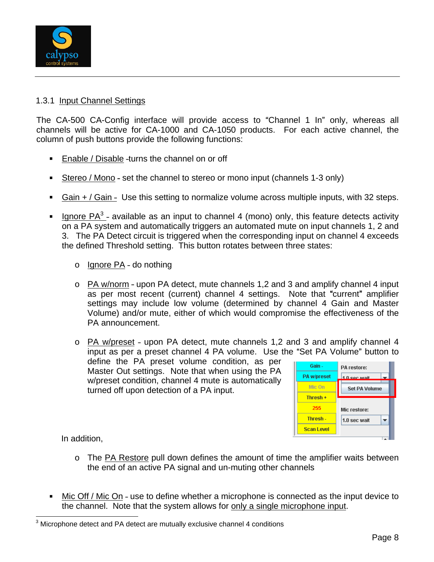

#### 1.3.1 Input Channel Settings

The CA-500 CA-Config interface will provide access to "Channel 1 In" only, whereas all channels will be active for CA-1000 and CA-1050 products. For each active channel, the column of push buttons provide the following functions:

- **Enable / Disable -turns the channel on or off**
- Stereo / Mono set the channel to stereo or mono input (channels 1-3 only)  $\blacksquare$
- Gain  $+$  / Gain Use this setting to normalize volume across multiple inputs, with 32 steps.  $\blacksquare$
- Ignore PA<sup>3</sup>- available as an input to channel 4 (mono) only, this feature detects activity on a PA system and automatically triggers an automated mute on input channels 1, 2 and 3. The PA Detect circuit is triggered when the corresponding input on channel 4 exceeds the defined Threshold setting. This button rotates between three states:
	- o li<u>gnore PA</u> do nothing the state of the state of the state of the state of the state of the state of the state of the state of the state of the state of the state of the state of the state of the state of the state of
	- $\circ$  PA w/norm upon PA detect, mute channels 1,2 and 3 and amplify channel 4 input as per most recent (current) channel 4 settings. Note that "current" amplifier settings may include low volume (determined by channel 4 Gain and Master Volume) and/or mute, either of which would compromise the effectiveness of the PA announcement.

 $\circ$  PA w/preset - upon PA detect, mute channels 1,2 and 3 and amplify channel 4 input as per a preset channel 4 PA volume. Use the "Set PA Volume" button to

define the PA preset volume condition, as per  $\frac{1}{\sqrt{2}}$  Gain  $\frac{1}{\sqrt{2}}$  PA restore: Master Out settings. Note that when using the PA **PA WARE A TO BE PAYER FOR THE STATE** w/preset condition, channel 4 mute is automatically turned off upon detection of a PA input.



- o The PA Restore pull down defines the amount of time the amplifier waits between the end of an active PA signal and un-muting other channels
- Mic Off / Mic On use to define whether a microphone is connected as the input device to the channel. Note that the system allows for only a single microphone input.

<sup>3</sup> Microphone detect and PA detect are mutually exclusive channel 4 conditions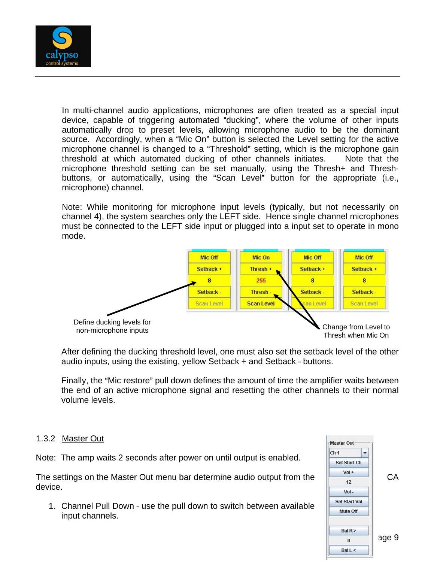

In multi-channel audio applications, microphones are often treated as a special input device, capable of triggering automated "ducking", where the volume of other inputs automatically drop to preset levels, allowing microphone audio to be the dominant source. Accordingly, when a "Mic On" button is selected the Level setting for the active microphone channel is changed to a "Threshold" setting, which is the microphone gain threshold at which automated ducking of other channels initiates. Note that the microphone threshold setting can be set manually, using the Thresh+ and Thresh buttons, or automatically, using the "Scan Level" button for the appropriate (i.e., microphone) channel.

Note: While monitoring for microphone input levels (typically, but not necessarily on channel 4), the system searches only the LEFT side. Hence single channel microphones must be connected to the LEFT side input or plugged into a input set to operate in mono mode. The contract of the contract of the contract of the contract of the contract of the contract of the contract of the contract of the contract of the contract of the contract of the contract of the contract of the cont



After defining the ducking threshold level, one must also set the setback level of the other audio inputs, using the existing, yellow Setback  $+$  and Setback - buttons.

Finally, the "Mic restore" pull down defines the amount of time the amplifier waits between the end of an active microphone signal and resetting the other channels to their normal volume levels.

#### 1.3.2 Master Out **Master Out**

Note: The amp waits 2 seconds after power on until output is enabled.  $\left\| \frac{\text{Ch 1}}{\text{Set Start Ch}} \right\|$ 

The settings on the Master Out menu bar determine audio output from the  $\frac{\sqrt{60}+}{12}$  CA device.

1. Channel Pull Down - use the pull down to switch between available  $\frac{\text{Set Start Vol}}{\text{Mute off}}$ input channels.

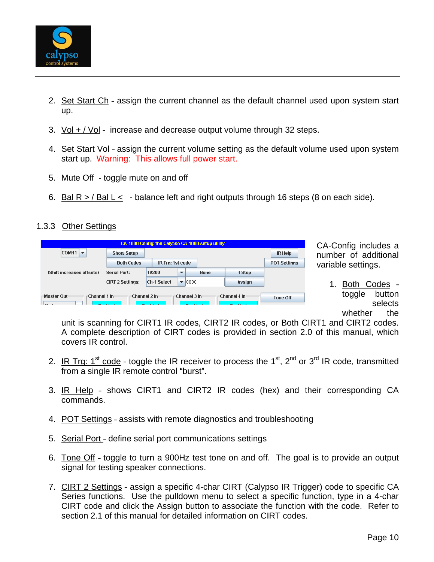

- 2. Set Start Ch assign the current channel as the default channel used upon system start up.
- 3. Vol + / Vol increase and decrease output volume through 32 steps.
- 4. Set Start Vol assign the current volume setting as the default volume used upon system start up. Warning: This allows full power start.
- 5. Mute Off toggle mute on and off
- 6. Bal R > / Bal L < balance left and right outputs through 16 steps (8 on each side).

#### 1.3.3 Other Settings

|                                      |                         |                  |                          | CA-1000 Config: the Calypso CA-1000 setup utility |                |                     |
|--------------------------------------|-------------------------|------------------|--------------------------|---------------------------------------------------|----------------|---------------------|
| $\text{COM11}$ $\blacktriangleright$ | <b>Show Setup</b>       |                  |                          |                                                   |                | <b>IR Help</b>      |
|                                      | <b>Both Codes</b>       | IR Trg: 1st code |                          |                                                   |                | <b>POT Settings</b> |
| (Shift increases offsets)            | <b>Serial Port:</b>     | 19200            | $\overline{\phantom{a}}$ | <b>None</b>                                       | 1 Stop         |                     |
|                                      | <b>CIRT 2 Settings:</b> | Ch-1 Select      |                          | $\blacktriangledown$ 0000                         | Assian         |                     |
| -Master Out-<br>∙Channel 1 In∙       | -Channel 2 In-          |                  |                          | ∈Channel 3 In∙                                    | -Channel 4 In- | Tone Off            |

CA-Config includes a number of additional variable settings.

1. Both Codes toggle button selects whether the

unit is scanning for CIRT1 IR codes, CIRT2 IR codes, or Both CIRT1 and CIRT2 codes. A complete description of CIRT codes is provided in section 2.0 of this manual, which covers IR control.

- 2. IR Trg: 1<sup>st</sup> code toggle the IR receiver to process the 1<sup>st</sup>, 2<sup>nd</sup> or 3<sup>rd</sup> IR code, transmitted <sup>rd</sup> IR code, transmitted from a single IR remote control "burst".
- 3. IR Help shows CIRT1 and CIRT2 IR codes (hex) and their corresponding CA commands.
- 4. POT Settings assists with remote diagnostics and troubleshooting
- 5. Serial Port define serial port communications settings
- 6. Tone Off toggle to turn a 900Hz test tone on and off. The goal is to provide an output signal for testing speaker connections.
- 7. CIRT 2 Settings assign a specific 4-char CIRT (Calypso IR Trigger) code to specific CA Series functions. Use the pulldown menu to select a specific function, type in a 4-char CIRT code and click the Assign button to associate the function with the code. Refer to section 2.1 of this manual for detailed information on CIRT codes.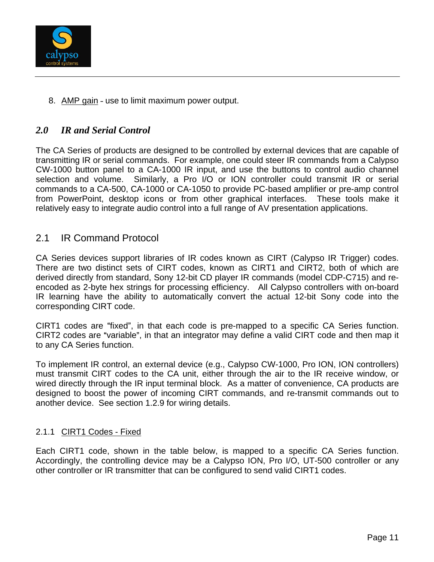

8. AMP gain - use to limit maximum power output.

#### *2.0 IR and Serial Control*

The CA Series of products are designed to be controlled by external devices that are capable of transmitting IR or serial commands. For example, one could steer IR commands from a Calypso CW-1000 button panel to a CA-1000 IR input, and use the buttons to control audio channel selection and volume. Similarly, a Pro I/O or ION controller could transmit IR or serial commands to a CA-500, CA-1000 or CA-1050 to provide PC-based amplifier or pre-amp control from PowerPoint, desktop icons or from other graphical interfaces. These tools make it relatively easy to integrate audio control into a full range of AV presentation applications.

#### 2.1 IR Command Protocol

CA Series devices support libraries of IR codes known as CIRT (Calypso IR Trigger) codes. There are two distinct sets of CIRT codes, known as CIRT1 and CIRT2, both of which are derived directly from standard, Sony 12-bit CD player IR commands (model CDP-C715) and re encoded as 2-byte hex strings for processing efficiency. All Calypso controllers with on-board IR learning have the ability to automatically convert the actual 12-bit Sony code into the corresponding CIRT code.

CIRT1 codes are "fixed", in that each code is pre-mapped to a specific CA Series function. CIRT2 codes are "variable", in that an integrator may define a valid CIRT code and then map it to any CA Series function.

To implement IR control, an external device (e.g., Calypso CW-1000, Pro ION, ION controllers) must transmit CIRT codes to the CA unit, either through the air to the IR receive window, or wired directly through the IR input terminal block. As a matter of convenience, CA products are designed to boost the power of incoming CIRT commands, and re-transmit commands out to another device. See section 1.2.9 for wiring details.

#### 2.1.1 CIRT1 Codes - Fixed

Each CIRT1 code, shown in the table below, is mapped to a specific CA Series function. Accordingly, the controlling device may be a Calypso ION, Pro I/O, UT-500 controller or any other controller or IR transmitter that can be configured to send valid CIRT1 codes.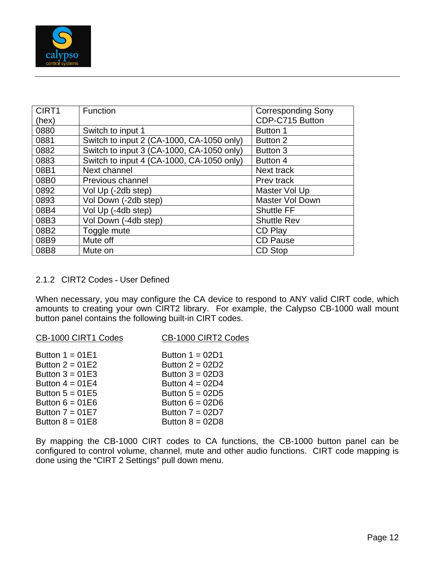

| CIRT1              | Function                                             | <b>Corresponding Sony</b> |
|--------------------|------------------------------------------------------|---------------------------|
| $rac{(hex)}{0880}$ |                                                      | CDP-C715 Button           |
|                    | Switch to input 1                                    | Button 1                  |
| 0881               | Switch to input 2 (CA-1000, CA-1050 only)   Button 2 |                           |
| 0882               | Switch to input 3 (CA-1000, CA-1050 only)   Button 3 |                           |
| 0883               | Switch to input 4 (CA-1000, CA-1050 only)   Button 4 |                           |
| 08B1               | Next channel                                         | Next track                |
| 08B0               | Previous channel                                     | Prev track                |
| 0892               | Vol Up (-2db step)                                   | Master Vol Up             |
| 0893               | Vol Down (-2db step)                                 | Master Vol Down           |
| 08B4               | Vol Up (-4db step)                                   | <b>Shuttle FF</b>         |
| 08B3               | Vol Down (-4db step)                                 | <b>Shuttle Rev</b>        |
| 08B2               | Toggle mute                                          | $\mathsf{CD}$ Play        |
| 08B9               | Mute off                                             | CD Pause                  |
| 08B8               | Mute on                                              | CD Stop                   |

#### 2.1.2 CIRT2 Codes - User Defined

When necessary, you may configure the CA device to respond to ANY valid CIRT code, which amounts to creating your own CIRT2 library. For example, the Calypso CB-1000 wall mount button panel contains the following built-in CIRT codes.

| <u>CB-1000 CIRT1 Codes</u> | CB-1000 CIRT2 Codes |  |
|----------------------------|---------------------|--|
| Button $1 = 01E1$          | Button $1 = 02D1$   |  |
| Button $2 = 01E2$          | Button $2 = 02D2$   |  |
| Button $3 = 01E3$          | Button $3 = 02D3$   |  |
| Button $4 = 01E4$          | Button $4 = 02D4$   |  |
| Button $5 = 01E5$          | Button $5 = 02D5$   |  |
| Button $6 = 01E6$          | Button $6 = 02D6$   |  |
| Button $7 = 01E7$          | Button $7 = 02D7$   |  |
| Button $8 = 01E8$          | Button $8 = 02D8$   |  |

By mapping the CB-1000 CIRT codes to CA functions, the CB-1000 button panel can be configured to control volume, channel, mute and other audio functions. CIRT code mapping is done using the "CIRT 2 Settings" pull down menu.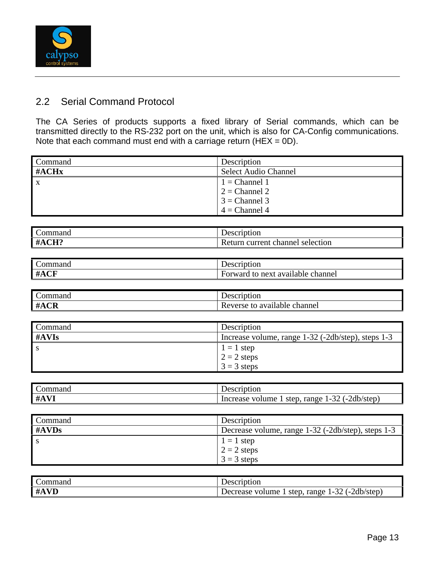

### 2.2 Serial Command Protocol

The CA Series of products supports a fixed library of Serial commands, which can be transmitted directly to the RS-232 port on the unit, which is also for CA-Config communications.<br>Note that each command must end with a carriage return (HEX = 0D).

| Command      | Description                                                                                              |
|--------------|----------------------------------------------------------------------------------------------------------|
| #ACHx        | Select Audio Channel                                                                                     |
| $\mathbf{A}$ | $1 = \text{Channel } 1$<br>$2 = \text{Channel } 2$<br>$3 = \text{Channel } 3$<br>$4 = \text{Channel } 4$ |
|              |                                                                                                          |
|              |                                                                                                          |
|              |                                                                                                          |

| <b>Description</b>               |
|----------------------------------|
| Return current channel selection |

| <b>Description</b>                               |  |
|--------------------------------------------------|--|
| <i>vard</i> to next available channel<br>- Forwa |  |

| Command | Description                                        |
|---------|----------------------------------------------------|
| #AVIs   | Increase volume, range 1-32 (-2db/step), steps 1-3 |
|         | $1 = 1$ step                                       |
|         | $2 = 2$ steps                                      |
|         | $3 = 3$ steps                                      |

| Description<br>Command                                                       |
|------------------------------------------------------------------------------|
| 1 step, range $1-32$ ( $-2db/step$ )<br>Increase<br>$\cdot$ volume $\perp$ . |

| Command  | <b>Description</b>                                 |
|----------|----------------------------------------------------|
| $\#AVDs$ | Decrease volume, range 1-32 (-2db/step), steps 1-3 |
|          | $1 = 1$ step                                       |
|          | $2 = 2$ steps                                      |
|          | $3 = 3$ steps                                      |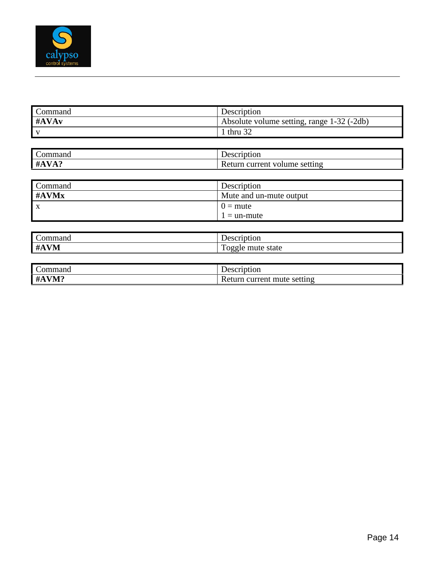

|                  | Description                                |
|------------------|--------------------------------------------|
| Command<br>#AVAv | Absolute volume setting, range 1-32 (-2db) |
|                  | 1 thru $32$                                |
|                  |                                            |
|                  | Description                                |
| Command<br>#AVA? | Return current volume setting              |
|                  |                                            |
| Command          | <b>Description</b>                         |
| #AVMx            | Mute and un-mute output                    |
|                  | $=$ mute                                   |
|                  | $1 =$ un-mute                              |
|                  |                                            |
| Command          | Description                                |
| #AVM             | Toggle mute state                          |
|                  |                                            |
| Command          | Description                                |
| #AVM?            | Return current mute setting                |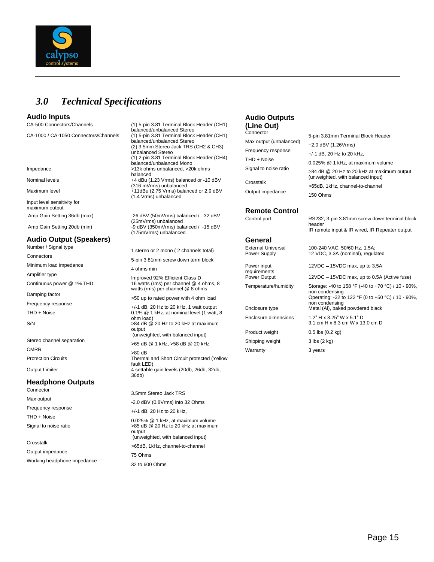

### *3.0 Technical Specifications*

Input level sensitivity for maximum output that the contract of the contract of the contract of the contract of the contract of the contract of the contract of the contract of the contract of the contract of the contract of the contract of the contra

#### **Audio Output (Speakers)**

Connectors **Example 2000** S-pin 3.81mm screw down term block Minimum load impedance **1200 COVID-14 on the UP** of the Minimum load impedance the definition of the 4 ohms min<br>
A ohms min

CMRR >80 dB

#### **Headphone Outputs**

Connector 3.5mm Stereo Jack TRS Max output  $-2.0$  dBV (0.8Vrms) into 32 Ohms Frequency response +/-1 dB, 20 Hz to 20 kHz,

Crosstalk >65dB, 1kHz, channel-to-channel Output impedance and the contract of the 75 Ohms of the contract of the contract of the contract of the contract of the contract of the contract of the contract of the contract of the contract of the contract of the contra Working headphone impedance 32 to 600 Ohms 32 to 600 Ohms

CA-500 Connectors/Channels (1) 5-pin 3.81 Terminal Block Header (CH1) (Line Out) balanced/unbalanced Stereo balanced/unbalanced Stereo<br>CA-1000 / CA-1050 Connectors/Channels (1) 5-pin 3.81mm Terminal Block Header (CH1) 5-pin 3.81 Terminal Block H<br>Max output (unbalanced) 5-pin 3.81mm Terminal Block Header (balanced Stereo (2) 3.5mm Stereo Jack TRS (CH2 & CH3) (1) 2-pin 3.81 Terminal Block Header (CH4) Impedance >13k ohms unbalanced, >20k ohms Nominal levels +4 dBu (1.23 Vrms) balanced or -10 dBV<br>(316 mVrms) unbalanced Maximum level **11dBu (2.75 Vrms)** balanced or 2.9 dBV Outp<br>(1.4 Vrms) unbalanced

Amp Gain Setting 36db (max) -26 dBV (50mVrms) balanced / -32 dBV<br>Control port (25mVrms) unbalanced Amp Gain Setting 20db (min)<br>9 dBV (350mVrms) bander (350mVrms) balanced / -15 dBV<br>IR rem

Continuous power @ 1% THD 16 watts (rms) per channel @ 4 ohms, 8 watts (rms) per channel  $@8$  ohms  $100 \text{ m}$  is the inperaction containing  $\frac{1}{2}$  and  $\frac{1}{2}$  of  $\frac{1}{2}$  or  $\frac{1}{2}$  or  $\frac{1}{2}$  or  $\frac{1}{2}$  or  $\frac{1}{2}$  or  $\frac{1}{2}$  or  $\frac{1}{2}$  or  $\frac{1}{2}$  or  $\frac{1}{2}$  or  $\$ 

THD + Noise<br>
THD + Noise<br>
O.1% @ 1 kHz, at nominal level (1 watt, 8<br>
ohm load)<br>
ohm load)<br>
Ohm load and the twatt, 8<br>
Enclosure dimensions 1.2" H x 3.25" W x 5.1" D ohm load) Enclosure dimensions 1.2" H x 3.25" W x 5.1" D S/N  $>84$  dB @ 20 Hz to 20 kHz at maximum  $>$  0.8 and  $\frac{3.1 \text{ cm}}{3.1 \text{ cm}} \times 8.3 \text{ cm}$  W x 13.0 cm D  $\Omega$  output  $\Omega$  of the  $\Omega$  of the  $\Omega$  of the  $\Omega$  of the  $\Omega$  of the  $\Omega$  of the  $\Omega$  of the  $\Omega$  of the  $\Omega$  of the  $\Omega$  of the  $\Omega$  of the  $\Omega$  of the  $\Omega$  of the  $\Omega$  of the  $\Omega$  of the  $\Omega$  of the  $\Omega$  of the  $\Omega$  output<br>
(unweighted, with balanced input)<br>
Shipping weight
3 lbs (2 kg)
3 lbs (2 kg)
3 lbs (2 kg)

Stereo channel separation >65 dB @ 1 kHz, >58 dB @ 20 kHz

Protection Circuits Thermal and Short Circuit protected (Yellow Thermal and Short Circuit protected (Yellow fault LED) Output Limiter 4 settable gain levels (20db, 26db, 32db, 36db)

THD + Noise contract the contract of 0.025% @ 1 kHz, at maximum volume Signal to noise ratio  $>85$  dB @ 20 Hz to 20 kHz at maximum output

(unweighted, with balanced input)

#### **Audio Inputs Audio Outputs (Line Out)**

| <u>naidi iyou ulindidi iyou digi cu</u>            | Connector               |                                            |
|----------------------------------------------------|-------------------------|--------------------------------------------|
| (1) 5-pin 3.81 Terminal Block Header (CH1)         |                         | 5-pin 3.81mm Terminal Block Header         |
| balanced/unbalanced Stereo                         | Max output (unbalanced) |                                            |
| (2) 3.5mm Stereo Jack TRS (CH2 & CH3)              |                         | +2.0 dBV (1.26Vrms)                        |
| unbalanced Stereo                                  | Frequency response      | +/-1 dB, 20 Hz to 20 kHz,                  |
| (1) 2-pin 3.81 Terminal Block Header (CH4)         | THD + Noise             |                                            |
| balanced/unbalanced Mono                           |                         | 0.025% @ 1 kHz, at maximum volume          |
| >13k ohms unbalanced, >20k ohms                    | Signal to noise ratio   | >84 dB @ 20 Hz to 20 kHz at maximum output |
| balanced<br>+4 dBu (1.23 Vrms) balanced or -10 dBV |                         | (unweighted, with balanced input)          |
| (316 mVrms) unbalanced                             | Crosstalk               | >65dB, 1kHz, channel-to-channel            |
| +11dBu (2.75 Vrms) balanced or 2.9 dBV             | Output impedance        |                                            |
| (1.4 Vrms) unbalanced                              |                         | 150 Ohms                                   |
|                                                    |                         |                                            |
|                                                    |                         |                                            |

requirements and the contract of the contract of the contract of the contract of the contract of the contract of the contract of the contract of the contract of the contract of the contract of the contract of the contract

Product weight 0.5 lbs (0.2 kg) Shipping weight 3 lbs (2 kg) Warranty **3** years **3** state 3 years **3** years **3** years **3** years **3** years **3** years **3** years **3** years **3** years **3** years **3** years **3** years **3** years **3** years **3** years **3** years **3** years **3** years **3** years **3** y

(25mVrms) unbalanced control port control port control control control control control control control control control control control control control control control control control control control control control control **Remote Control** RS232, 3-pin 3.81mm screw down terminal block header **header header header header header** 

(175mVrms) unbalanced expansion and the contract of the contract of the contract of the contract of the contract of the contract of the contract of the contract of the contract of the contract of the contract of the contra IR remote input & IR wired, IR Repeater output **General General** 

Number / Signal type 1.5A;<br>1 stereo or 2 mono ( 2 channels total) and External Universal 100-240 VAC, 50/60 Hz, 1.5A; External Universal 100-240 VAC, 50/60 Hz, 1.5A; Power Supply 12 VDC, 3.3A (nominal), regulated 12 VDC, 3.3A (nominal), regulated

Power input **EXEC 12VDC** – 15VDC max, up to 3.5A

Amplifier type<br>Improved 92% Efficient Class D Power Output 12VDC - 15VDC max, up to 0.5A (Active fuse) Power Output 12VDC - 15VDC max, up to 0.5A (Active fuse)

Temperature/humidity Storage: -40 to 158 °F (-40 to +70 °C) / 10 - 90%,<br>non condensing

Damping factor example that the state of the state of the basic of the content of the content of the content of the state of the Departing: -32 to 122 °F (0 to +50 °C) / 10 - 90%, Frequency response<br>+/-1 dB, 20 Hz to 20 kHz, 1 watt output Metal (Al) haked nowdered black non condensing Operating: -32 to 122 °F (0 to +50 °C) / 10 - 90%, non condensing

Enclosure type Metal (Al), baked powdered black

Enclosure dimensions  $1.2$ " H x 3.25" W x 5.1" D 3.1 cm H x 8.3 cm W x 13.0 cm D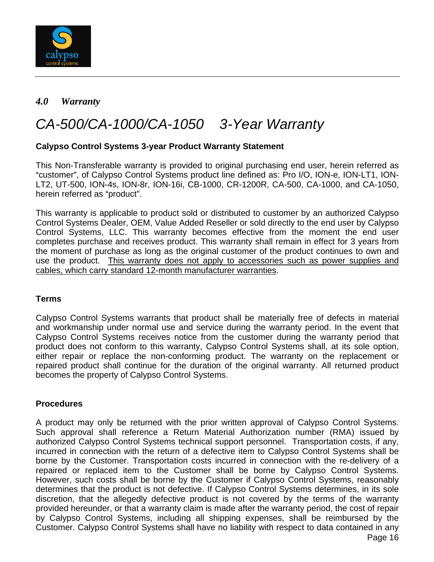

#### *4.0 Warranty*

# CA-500/CA-1000/CA-1050 3-Year Warranty

#### **Calypso Control Systems 3-year Product Warranty Statement**

This Non-Transferable warranty is provided to original purchasing end user, herein referred as "customer", of Calypso Control Systems product line defined as: Pro I/O, ION-e, ION-LT1, ION-LT2, UT-500, ION-4s, ION-8r, ION-16i, CB-1000, CR-1200R, CA-500, CA-1000, and CA-1050, herein referred as "product".

This warranty is applicable to product sold or distributed to customer by an authorized Calypso Control Systems Dealer, OEM, Value Added Reseller or sold directly to the end user by Calypso Control Systems, LLC. This warranty becomes effective from the moment the end user completes purchase and receives product. This warranty shall remain in effect for 3 years from the moment of purchase as long as the original customer of the product continues to own and use the product. This warranty does not apply to accessories such as power supplies and cables, which carry standard 12-month manufacturer warranties.

#### **Terms**

Calypso Control Systems warrants that product shall be materially free of defects in material and workmanship under normal use and service during the warranty period. In the event that Calypso Control Systems receives notice from the customer during the warranty period that product does not conform to this warranty, Calypso Control Systems shall, at its sole option, either repair or replace the non-conforming product. The warranty on the replacement or repaired product shall continue for the duration of the original warranty. All returned product becomes the property of Calypso Control Systems.

#### **Procedures**

 Page 16 A product may only be returned with the prior written approval of Calypso Control Systems. Such approval shall reference a Return Material Authorization number (RMA) issued by authorized Calypso Control Systems technical support personnel. Transportation costs, if any, incurred in connection with the return of a defective item to Calypso Control Systems shall be borne by the Customer. Transportation costs incurred in connection with the re-delivery of a repaired or replaced item to the Customer shall be borne by Calypso Control Systems. However, such costs shall be borne by the Customer if Calypso Control Systems, reasonably determines that the product is not defective. If Calypso Control Systems determines, in its sole discretion, that the allegedly defective product is not covered by the terms of the warranty provided hereunder, or that a warranty claim is made after the warranty period, the cost of repair by Calypso Control Systems, including all shipping expenses, shall be reimbursed by the Customer. Calypso Control Systems shall have no liability with respect to data contained in any